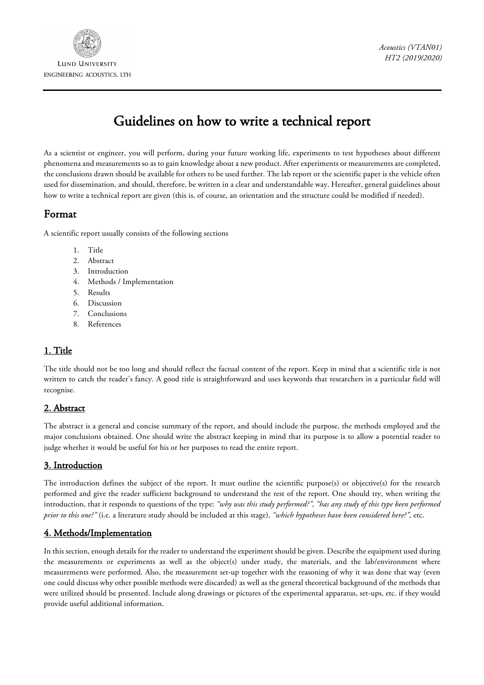

# Guidelines on how to write a technical report

As a scientist or engineer, you will perform, during your future working life, experiments to test hypotheses about different phenomena and measurements so as to gain knowledge about a new product. After experiments or measurements are completed, the conclusions drawn should be available for others to be used further. The lab report or the scientific paper is the vehicle often used for dissemination, and should, therefore, be written in a clear and understandable way. Hereafter, general guidelines about how to write a technical report are given (this is, of course, an orientation and the structure could be modified if needed).

# Format

A scientific report usually consists of the following sections

- 1. Title
- 2. Abstract
- 3. Introduction
- 4. Methods / Implementation
- 5. Results
- 6. Discussion
- 7. Conclusions
- 8. References

## 1. Title

The title should not be too long and should reflect the factual content of the report. Keep in mind that a scientific title is not written to catch the reader's fancy. A good title is straightforward and uses keywords that researchers in a particular field will recognise.

## 2. Abstract

The abstract is a general and concise summary of the report, and should include the purpose, the methods employed and the major conclusions obtained. One should write the abstract keeping in mind that its purpose is to allow a potential reader to judge whether it would be useful for his or her purposes to read the entire report.

## 3. Introduction

The introduction defines the subject of the report. It must outline the scientific purpose(s) or objective(s) for the research performed and give the reader sufficient background to understand the rest of the report. One should try, when writing the introduction, that it responds to questions of the type: *"why was this study performed?", "has any study of this type been performed prior to this one?"* (i.e. a literature study should be included at this stage)*, "which hypotheses have been considered here?",* etc.

## 4. Methods/Implementation

In this section, enough details for the reader to understand the experiment should be given. Describe the equipment used during the measurements or experiments as well as the object(s) under study, the materials, and the lab/environment where measurements were performed. Also, the measurement set-up together with the reasoning of why it was done that way (even one could discuss why other possible methods were discarded) as well as the general theoretical background of the methods that were utilized should be presented. Include along drawings or pictures of the experimental apparatus, set-ups, etc. if they would provide useful additional information.